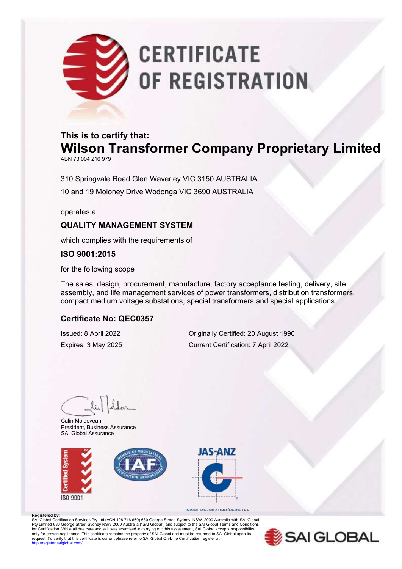# **CERTIFICATE** OF REGISTRATION

## **This is to certify that: Wilson Transformer Company Proprietary Limited**

ABN 73 004 216 979

310 Springvale Road Glen Waverley VIC 3150 AUSTRALIA 10 and 19 Moloney Drive Wodonga VIC 3690 AUSTRALIA

operates a

### **QUALITY MANAGEMENT SYSTEM**

which complies with the requirements of

**ISO 9001:2015**

for the following scope

The sales, design, procurement, manufacture, factory acceptance testing, delivery, site assembly, and life management services of power transformers, distribution transformers, compact medium voltage substations, special transformers and special applications.

#### **Certificate No: QEC0357**

Issued: 8 April 2022 Originally Certified: 20 August 1990 Expires: 3 May 2025 Current Certification: 7 April 2022

Calin Moldovean President, Business Assurance SAI Global Assurance





#### WWW.IAS-ANZ.ORG/REGISTER

**Registered by:** SAI Global Certification Services Pty Ltd (ACN 108 716 669) 680 George Street Sydney NSW 2000 Australia with SAI Global Pty Limited 680 George Street Sydney NSW 2000 Australia ("SAI Global") and subject to the SAI Global Terms and Conditions<br>for Certification. While all due care and skill was exercised in carrying out this assessment, SAI G only for proven negligence. This certificate remains the property of SAI Global and must be returned to SAI Global upon its<br>request. To verify that this certificate is current please refer to SAI Global On-Line Certificati dobal.com/